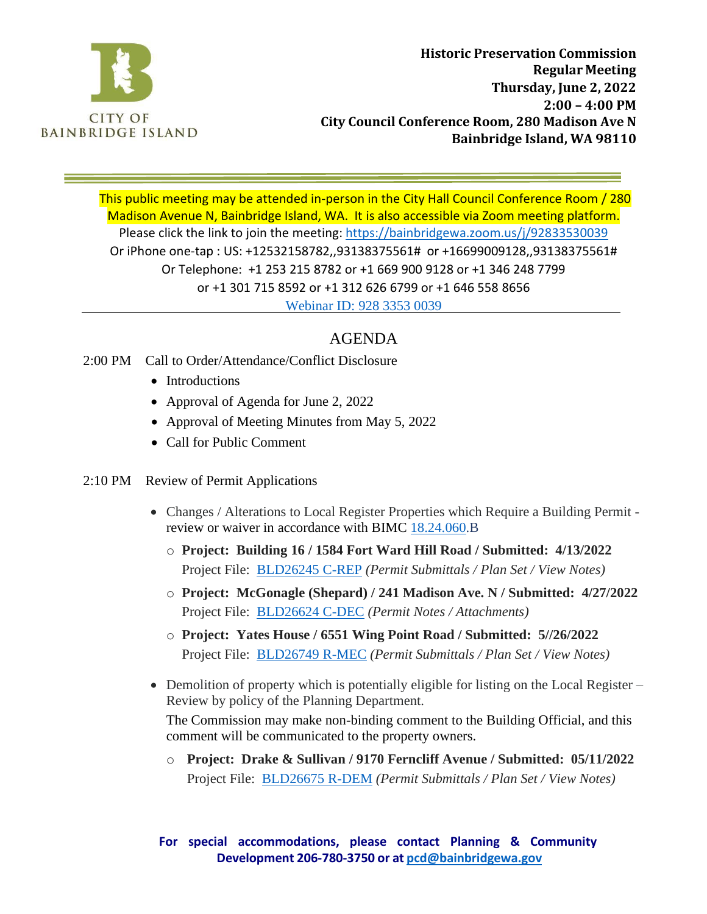

This public meeting may be attended in-person in the City Hall Council Conference Room / 280 Madison Avenue N, Bainbridge Island, WA. It is also accessible via Zoom meeting platform. Please click the link to join the meeting: https://bainbridgewa.zoom.us/j/92833530039 Or iPhone one-tap : US: +12532158782,,93138375561# or +16699009128,,93138375561# Or Telephone: +1 253 215 8782 or +1 669 900 9128 or +1 346 248 7799 or +1 301 715 8592 or +1 312 626 6799 or +1 646 558 8656 Webinar ID: 928 3353 0039

# AGENDA

### 2:00 PM Call to Order/Attendance/Conflict Disclosure

- Introductions
- Approval of Agenda for June 2, 2022
- Approval of Meeting Minutes from May 5, 2022
- Call for Public Comment
- 2:10 PM Review of Permit Applications
	- Changes / Alterations to Local Register Properties which Require a Building Permit review or waiver in accordance with BIMC 18.24.060.B
		- o **Project: Building 16 / 1584 Fort Ward Hill Road / Submitted: 4/13/2022** Project File: BLD26245 C-REP *(Permit Submittals / Plan Set / View Notes)*
		- o **Project: McGonagle (Shepard) / 241 Madison Ave. N / Submitted: 4/27/2022** Project File: BLD26624 C-DEC *(Permit Notes / Attachments)*
		- o **Project: Yates House / 6551 Wing Point Road / Submitted: 5//26/2022** Project File: BLD26749 R-MEC *(Permit Submittals / Plan Set / View Notes)*
	- Demolition of property which is potentially eligible for listing on the Local Register Review by policy of the Planning Department.

The Commission may make non-binding comment to the Building Official, and this comment will be communicated to the property owners.

o **Project: Drake & Sullivan / 9170 Ferncliff Avenue / Submitted: 05/11/2022** Project File: BLD26675 R-DEM *(Permit Submittals / Plan Set / View Notes)*

**For special accommodations, please contact Planning & Community Development 206-780-3750 or at [pcd@bainbridgewa.gov](mailto:pcd@bainbridgewa.gov)**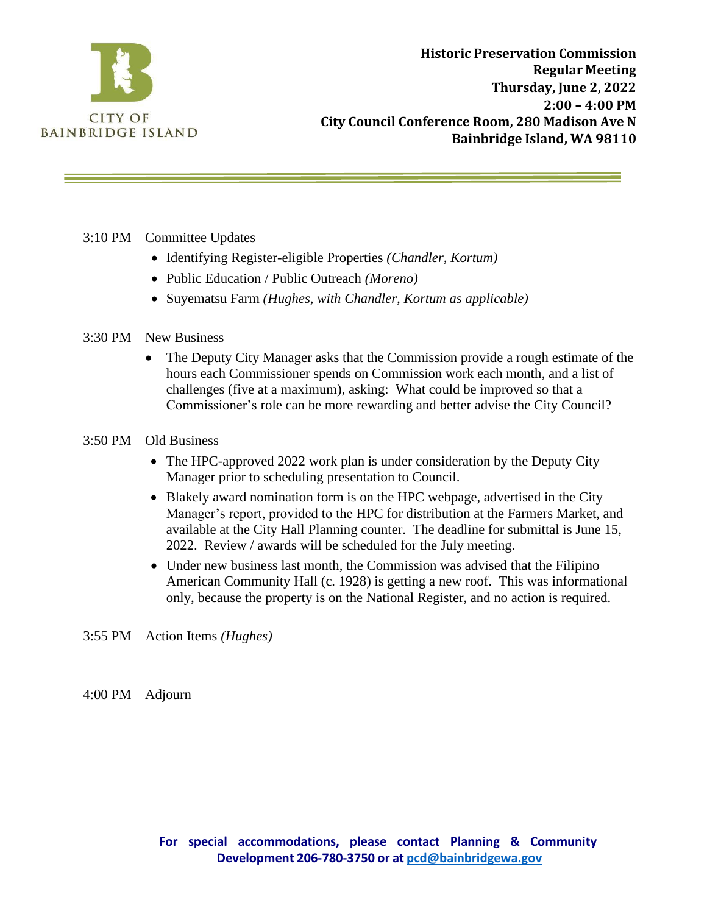

#### 3:10 PM Committee Updates

- Identifying Register-eligible Properties *(Chandler, Kortum)*
- Public Education / Public Outreach *(Moreno)*
- Suyematsu Farm *(Hughes, with Chandler, Kortum as applicable)*

#### 3:30 PM New Business

- The Deputy City Manager asks that the Commission provide a rough estimate of the hours each Commissioner spends on Commission work each month, and a list of challenges (five at a maximum), asking: What could be improved so that a Commissioner's role can be more rewarding and better advise the City Council?
- 3:50 PM Old Business
	- The HPC-approved 2022 work plan is under consideration by the Deputy City Manager prior to scheduling presentation to Council.
	- Blakely award nomination form is on the HPC webpage, advertised in the City Manager's report, provided to the HPC for distribution at the Farmers Market, and available at the City Hall Planning counter. The deadline for submittal is June 15, 2022. Review / awards will be scheduled for the July meeting.
	- Under new business last month, the Commission was advised that the Filipino American Community Hall (c. 1928) is getting a new roof. This was informational only, because the property is on the National Register, and no action is required.
- 3:55 PM Action Items *(Hughes)*

4:00 PM Adjourn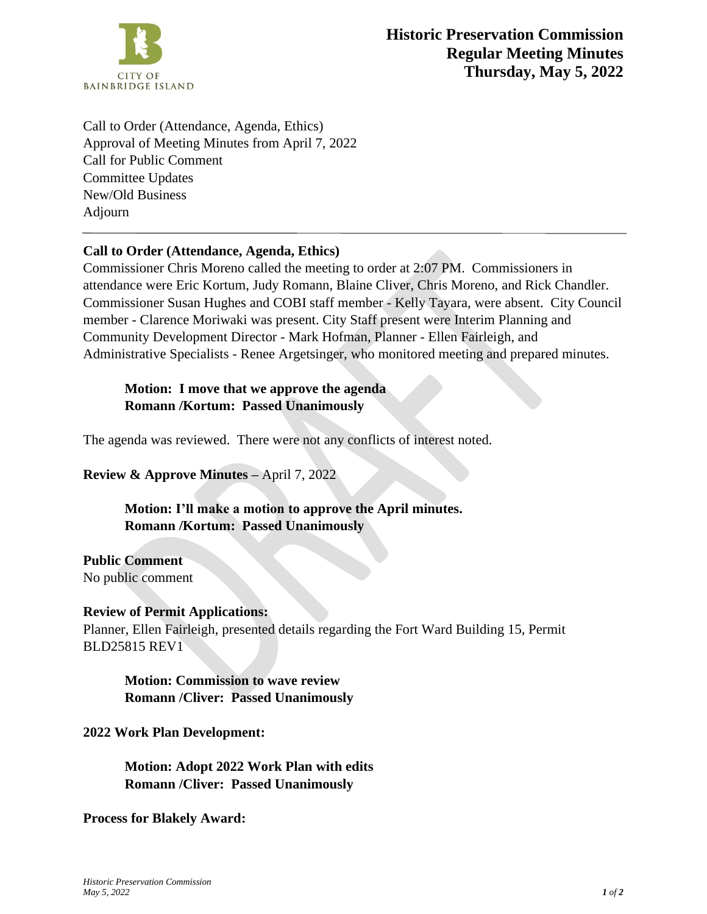

Call to Order (Attendance, Agenda, Ethics) Approval of Meeting Minutes from April 7, 2022 Call for Public Comment Committee Updates New/Old Business Adjourn

### **Call to Order (Attendance, Agenda, Ethics)**

Commissioner Chris Moreno called the meeting to order at 2:07 PM. Commissioners in attendance were Eric Kortum, Judy Romann, Blaine Cliver, Chris Moreno, and Rick Chandler. Commissioner Susan Hughes and COBI staff member - Kelly Tayara, were absent. City Council member - Clarence Moriwaki was present. City Staff present were Interim Planning and Community Development Director - Mark Hofman, Planner - Ellen Fairleigh, and Administrative Specialists - Renee Argetsinger, who monitored meeting and prepared minutes.

**Motion: I move that we approve the agenda Romann /Kortum: Passed Unanimously**

The agenda was reviewed. There were not any conflicts of interest noted.

**Review & Approve Minutes –** April 7, 2022

**Motion: I'll make a motion to approve the April minutes. Romann /Kortum: Passed Unanimously**

**Public Comment** No public comment

#### **Review of Permit Applications:**

Planner, Ellen Fairleigh, presented details regarding the Fort Ward Building 15, Permit BLD25815 REV1

**Motion: Commission to wave review Romann /Cliver: Passed Unanimously**

#### **2022 Work Plan Development:**

**Motion: Adopt 2022 Work Plan with edits Romann /Cliver: Passed Unanimously**

**Process for Blakely Award:**